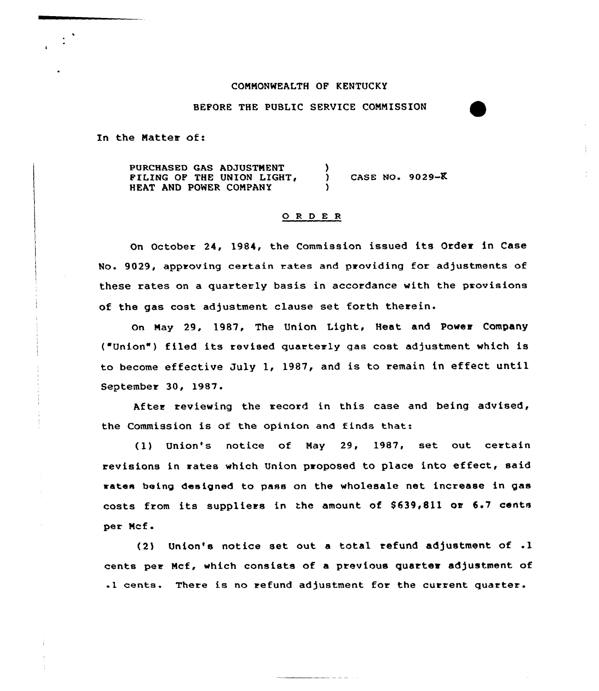## COMMONWEALTH OF KENTUCKY

BEFORE THE PUBLIC SERVICE CONNISSION

In the Matter of:

PURCHASED GAS ADJUSTMENT PILING OF THE UNION LIGHT, HEAT AND POWER CONPANY ) CASE NO. 9029-K )

## 0 <sup>R</sup> <sup>D</sup> <sup>E</sup> <sup>R</sup>

On October 24, 1984, the Commission issued its Order in Case No. 9029, approving certain rates and providing for adjustments of these rates on a quarterly basis in accordance with the provisions of the gas cost adjustment clause set forth therein.

On May 29, 1987, The Union Light, Heat and Power Company ("Union") filed its revised quarterly gas cost adjustment which is to become effective July 1, 1987, and is to remain in effect until September 30, 1987.

After reviewing the record in this case and being advised, the Commission is of the opinion and finds that:

(1) Union's notice of Nay 29, 1987, set out certain revisions in rates which Union proposed to place into effect, said rates being designed to pass on the wholesale net increase in gas costs from its suppliers in the amount of  $$639,811$  or  $6.7$  cents per Ncf.

(2) Union's notice set out a total refund adjustment of .1 cents per Mcf, which consists of a previous quarter adjustment of .1 cents. There is no refund adjustment for the current quarter.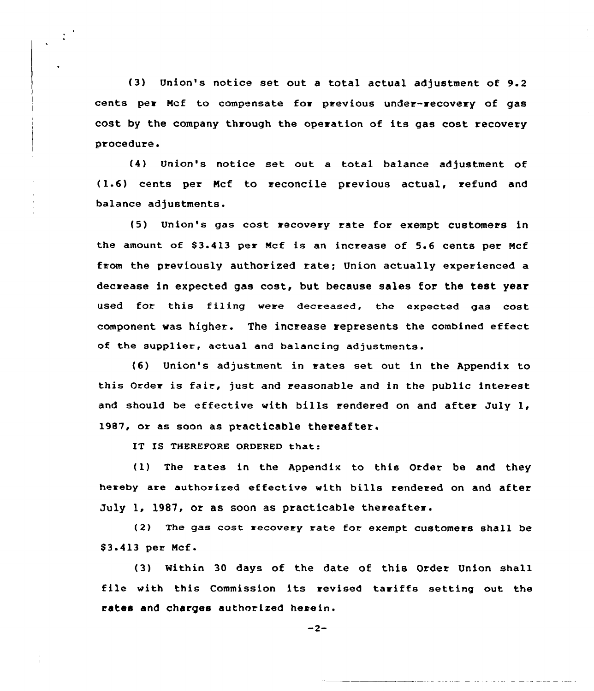{3) Union's notice set out a total actual adjustment of 9.2 cents per Mcf to compensate for previous under-recovery of gas cost by the company through the operation of its gas cost recovery procedure.

(4) Union's notice set out a total balance adjustment of (1-6) cents per Ncf to reconcile previous actual, refund and balance adjustments.

{5) Union's gas cost recovery rate for exempt customers in the amount of 83.413 per Mcf is an increase of 5.6 cents per Mcf from the previously authorized rate; Union actually experienced a decrease in expected gas cost, but because sales for the test year used for this filing were decreased, the expected gas cost component was higher. The increase represents the combined effect of the supplier, actual and balancing adjustments.

{6) Union's adjustment in rates set out in the Appendix to this Order is fair, just and reasonable and in the public interest and should be effective with bills rendered on and after July 1, 19B7, or as soon as practicable thereafter.

IT IS THEREFORE ORDERED that:

(1) The rates in the Appendix to this Order be and they hereby are authorized effective with bills rendered on and after July 1, 1987, or as soon as practicable thereafter.

(2) The gas cost recovery rate for exempt customers shall be \$3.413 per Mcf.

(3) Within 30 days of the date of this Order Union shall file with this Commission its revised tariffs setting out the rates and charges authorized herein.

 $-2-$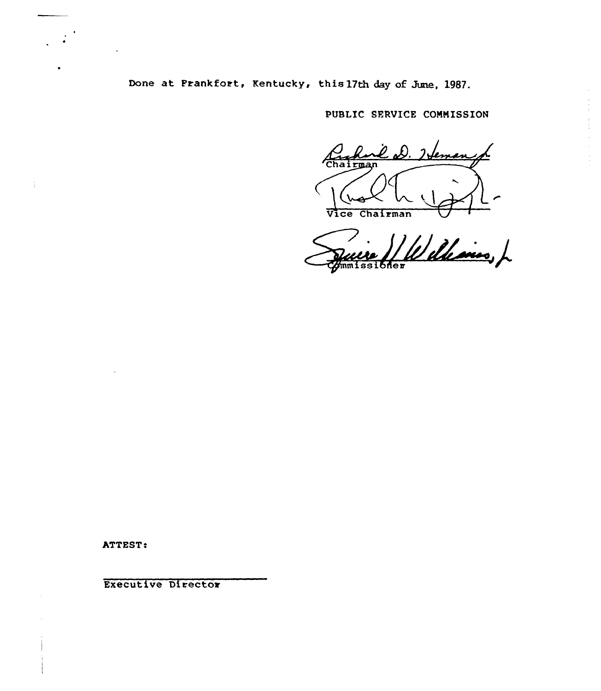Done at Frankfort, Kentucky, this 17th day of June, 1987.

PUBLIC SERVICE COMMISSION

 $\frac{1}{4}$  $\bar{\epsilon}$ 

feman rman Vice Chairman

Williams, L ssibner

ATTEST.

Executive Director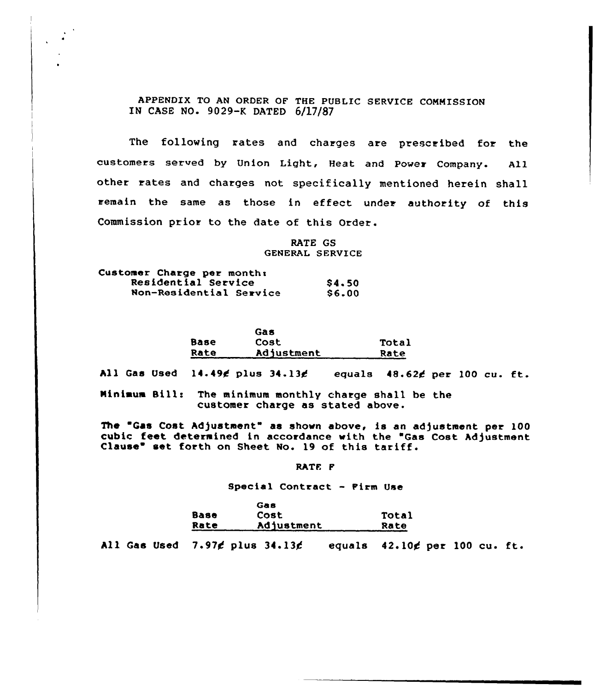APPENDIX TO AN ORDER OF THE PUBLIC SERVICE COMMISSION IN CASE NO- 9029-K DATED 6/17/87

The following rates and charges are prescribed for the customers served by Union Light, Heat and Power Company. All other rates and charges not specifically mentioned herein shall remain the same as those in effect under authority of this Commission prior to the date of this Order.

> RATE GS GENERAL SERVICE

| Customer Charge per month: |        |
|----------------------------|--------|
| Residential Service        | \$4.50 |
| Non-Residential Service    | \$6.00 |

|      | Gas        |       |
|------|------------|-------|
| Base | Cost       | Total |
| Rate | Adjustment | Rate  |

All Gas Used 14.49¢ plus 34.13¢ equals 48.62¢ per 100 cu. ft.

Minimum Silli The minimum monthly charge shall be the customer charge as stated above.

 $\sim$   $\sim$ 

The "Gas Cost Adjustment" as shown above, is an adjustment per 100 cubic feet determined in accordance with the "Gas Cost Adjustment Clause" set forth on Sheet No. 19 of this tariff.

RATE F

Special Contract - Firm Use

|             | <b>SOB</b> |       |
|-------------|------------|-------|
| <b>Base</b> | Cost.      | Total |
| <b>Rate</b> | Adjustment | Rate  |

All Gas Used  $7.97f$  plus  $34.13f$  equals  $42.10f$  per 100 cu. ft.